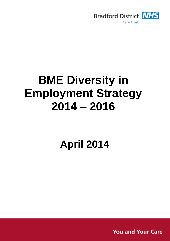

# **BME Diversity in Employment Strategy 2014 – 2016**

## **April 2014**

**You and Your Care**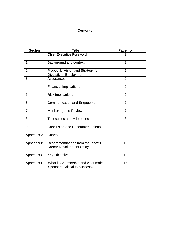### **Contents**

| <b>Section</b> | <b>Title</b>                                                               | Page no.       |
|----------------|----------------------------------------------------------------------------|----------------|
|                | <b>Chief Executive Foreword</b>                                            |                |
| 1              | Background and context                                                     | 3              |
| $\overline{2}$ | Proposal: Vision and Strategy for<br>Diversity in Employment               | 5              |
| 3              | <b>Assurances</b>                                                          | 6              |
| $\overline{4}$ | <b>Financial Implications</b>                                              | 6              |
| 5              | <b>Risk Implications</b>                                                   | 6              |
| 6              | <b>Communication and Engagement</b>                                        | $\overline{7}$ |
| $\overline{7}$ | <b>Monitoring and Review</b>                                               | 7              |
| 8              | <b>Timescales and Milestones</b>                                           | 8              |
| 9              | <b>Conclusion and Recommendations</b>                                      | 8              |
| Appendix A     | <b>Charts</b>                                                              | 9              |
| Appendix B     | Recommendations from the Innov8<br><b>Career Development Study</b>         | 12             |
| Appendix C     | <b>Key Objectives</b>                                                      | 13             |
| Appendix D     | What is Sponsorship and what makes<br><b>Sponsors Critical to Success?</b> | 15             |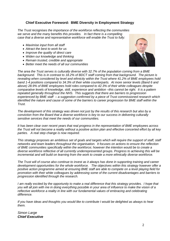#### **Chief Executive Foreword: BME Diversity in Employment Strategy**

*The Trust recognises the importance of the workforce reflecting the communities we serve and the many benefits this provides. In fact there is a compelling case that a diverse and representative workforce will enable the Trust to fully:*

- *Maximise input from all staff*
- *Attract the best to work for us*
- *Improve the quality of direct care*
- *Widen our knowledge and thinking*
- *Remain trusted, credible and appropriate*
- *Better meet the needs of all our communities*



*The area the Trust serves is culturally diverse with 32.7% of the population coming from a BME background. This is in contrast to 18.2% of BDCT staff coming from that background. The picture is revealing when considered by level and ethnicity within the Trust where 41.2% of BME employees hold band 1-4 positions compared to 34.3% of their white counterparts. At more senior levels (Band 6 and above) 28.9% of BME employees hold roles compared to 42.3% of their white colleagues despite comparative levels of knowledge, skill, experience and ambition –this cannot be right. It is a pattern repeated generally throughout the NHS. This suggests that there are barriers to progression experienced by BME staff – a suggestion confirmed by a piece of Trust commissioned research which identified the nature and cause of some of the barriers to career progression for BME staff within the Trust.*

*The development of this strategy was driven not just by the results of this research but also by a conviction from the Board that a diverse workforce is key to our success in delivering culturally sensitive services that meet the needs of our communities.*

*It has been clear over recent years that real progress in the representation of BME employees across the Trust will not become a reality without a positive action plan and effective concerted effort by all key parties. A real step change is now required.*

*This strategy proposes an ambitious set of goals and targets which will require the support of staff, staff networks and team leaders throughout the organisation. It focuses on actions to ensure the reflection of BME communities specifically within the workforce; however the intention would be to create a diverse workforce reflective of all currently underrepresented groups. Progress to achieving this will be incremental and will build on learning from the work to create a more ethnically diverse workforce.* 

*The Trust will of course also continue to invest as it always has done in supporting training and career development opportunities for the whole workforce. The objectives within this strategy however offer a positive action programme aimed at ensuring BME staff are able to compete on a level playing field for promotion with their white colleagues by addressing some of the current disadvantages and barriers to progression identified through the research.*

*I am really excited by the opportunity to make a real difference that this strategy provides. I hope that you will all join with me in doing everything possible in your area of influence to make the vision of a reflective workforce a reality in line with our fundamental values of embracing and celebrating difference.* 

*If you have ideas and thoughts you would like to contribute I would be delighted as always to hear them.*

*Simon Large Chief Executive*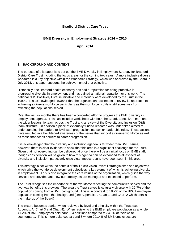#### **Bradford District Care Trust**

#### **BME Diversity in Employment Strategy 2014 – 2016**

#### **April 2014**

#### **1. BACKGROUND AND CONTEXT**

The purpose of this paper is to set out the BME Diversity in Employment Strategy for Bradford District Care Trust including the focus areas for the coming two years. A more inclusive diverse workforce is a key objective within the Workforce Strategy, which was approved by the Board in July 2013; this paper supports the achievement of that objective.

Historically, the Bradford health economy has had a reputation for being proactive in progressing diversity in employment and has gained a national reputation for this work. The national NHS Positively Diverse initiative and materials were developed by the Trust in the 1990s. It is acknowledged however that the organisation now needs to review its approach to achieving a diverse workforce particularly as the workforce profile is still some way from reflecting the populations served.

Over the last six months there has been a concerted effort to progress the BME diversity in employment agenda. This has included workshops with both the Board, Executive Team and the wider leadership team across the Trust and a review of the Diversity and Inclusion (D&I) team structure. In addition a piece of externally funded research was undertaken aimed at understanding the barriers to BME staff progression into senior leadership roles. .These actions have resulted in a heightened awareness of the issues that support a diverse workforce as well as those that act as barriers to career progression.

It is acknowledged that the diversity and inclusion agenda is far wider than BME issues, however, there is clear evidence to show that this area is a significant challenge for the Trust. Given that not everything can be delivered at once there will be an initial focus on BME staff, though consideration will be given to how this agenda can be expanded to all aspects of diversity and inclusion; particularly once clear impact results have been seen in this area.

This strategy is set within the context of the Trust's vision, overall strategic aims and objectives, which drive the workforce development objectives, a key element of which is achieving diversity in employment. This is also integral to the core values of the organisation, which guide the way services are provided and how our employees are managed and expected to perform.

The Trust recognises the importance of the workforce reflecting the communities served and the two-way benefits this provides. The area the Trust serves is culturally diverse with 32.7% of the population coming from a BME background. This is in contrast to 18.2% of the BDCT employee population coming from that background (see Appendix A, Chart 1; and Chart 2 which details the make-up of the Board)

The picture becomes starker when reviewed by level and ethnicity within the Trust (see Appendix A, Chart 3 and Chart 4). When reviewing the BME employee population as a whole, 41.2% of BME employees hold band 1-4 positions compared to 34.3% of their white counterparts. This is more balanced at band 5 where 20.14% of BME employees are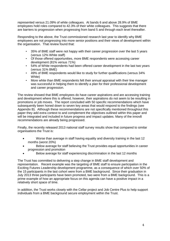represented versus 21.09% of white colleagues. At bands 6 and above 28.9% of BME employees hold roles compared to 42.3% of their white colleagues. This suggests that there are barriers to progression when progressing from band 5 and through each level thereafter.

Responding to the above, the Trust commissioned research last year to identify why BME employees are not progressing into more senior positions and their views of development within the organisation. That review found that:

- 35% of BME staff were not happy with their career progression over the last 5 years (versus 12% White staff)
- Of those offered opportunities, more BME respondents were accessing career development (81% versus 71%)
- 54% of White respondents had been offered career development in the last two years (versus 31% BME)
- 49% of BME respondents would like to study for further qualifications (versus 34% White)
- More white than BME respondents felt their annual appraisal with their line manager was successful in helping them to identify a plan for their professional development and career progression.

The review showed that BME employees do have career aspirations and are accessing training and development where this is offered, however, their aspirations do not seem to be resulting in promotions or job moves. The report concluded with 50 specific recommendations which have subsequently been honed down to seven key areas that would respond to the findings (see Appendix B). Although these recommendations are not specifically mentioned throughout this paper they add extra context to and complement the objectives outlined within this paper and will be integrated and included in future progress and impact updates. Many of the innov8 recommendations are already being progressed.

Finally, the recently released 2013 national staff survey results show that compared to similar organisations the Trust is:

- Worse than average in staff having equality and diversity training in the last 12 months (worst 20%)
- Below average for staff believing the Trust provides equal opportunities in career progression and promotion
- Below average for staff experiencing discrimination in the last 12 months

The Trust has committed to delivering a step change in BME staff development and representation. Recent example was the targeting of BME staff to ensure participation in the Exciting Futures Leadership development programme, as a consequence of which over 50% of the 15 participants in the last cohort were from a BME background. Since their graduation in July 2013 three participants have been promoted, two were from a BME background. This is a prime example of how an appropriate focus on this agenda can have a positive impact in a relatively short space of time.

In addition, the Trust works closely with the Cellar project and Job Centre Plus to help support individuals from a BME background secure employment within the Trust.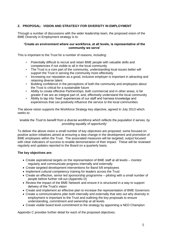#### **2. PROPOSAL: VISION AND STRATEGY FOR DIVERSITY IN EMPLOYMENT**

Through a number of discussions with the wider leadership team, the proposed vision of the BME Diversity in Employment strategy is to:

#### **'Create an environment where our workforce, at all levels, is representative of the community we serve'**

This is important to the Trust for a number of reasons, including:

- Potentially difficult to recruit and retain BME people with valuable skills and competencies if not visible to all in the local community
- The Trust is a core part of the community, understanding local issues better will support the Trust in serving the community more effectively
- Increasing our reputation as a good, inclusive employer is important in attracting and retaining diverse talent
- Building confidence in the perceptions of both the community and employees about the Trust is critical for a sustainable future
- Ability to create effective Partnerships, both commercial and in other areas, is far greater if we are an integral part of, and, effectively understand the local community
- Ability to tap into 'lived' experiences of our staff and harness knowledge and experiences that can positively influence the service to the local communities

The above vision supports the Workforce Strategy key objective, agreed In July 2013 which seeks to:

#### *'enable the Trust to benefit from a diverse workforce which reflects the population it serves, by providing equality of opportunity'*

To deliver the above vision a small number of key objectives are proposed, some focused on positive action initiatives aimed at ensuring a step change in the development and promotion of BME employees within the Trust. The associated measures will be targeted, output focused with clear indicators of success to enable demonstration of their impact. These will be reviewed regularly and updates reported to the Board on a quarterly basis.

#### **The key objectives are:**

- Create aspirational targets on the representation of BME staff at all levels monitor regularly and communicate progress internally and externally
- Create targeted development interventions for Band 5/6 employees
- Implement cultural competency training for leaders across the Trust
- Create an effective, senior led sponsorship programme piloting with a small number of people before further roll-out (Appendix D)
- Review the impact of the BME Network and ensure it is structured in a way to support delivery of the Trust's vision
- Create and implement an effective plan to increase the representation of BME Governors
- Create a communications plan both internally and externally that sets out why diversity in employment is important to the Trust and outlining the key proposals to ensure understanding, commitment and ownership at all levels
- Create visible board level commitment to the strategy by appointing a NED Champion

Appendix C provides further detail for each of the proposed objectives.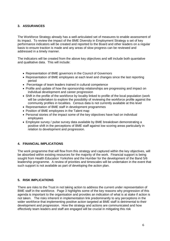#### **3. ASSURANCES**

The Workforce Strategy already has a well-articulated set of measures to enable assessment of its impact. To review the impact of the BME Diversity in Employment Strategy a set of key performance indicators will be created and reported to the Board and other leaders on a regular basis to ensure traction is made and any areas of slow progress can be reviewed and addressed in a timely manner.

The indicators will be created from the above key objectives and will include both quantative and qualitative data. This will include:

- Representation of BME governors in the Council of Governors
- Representation of BME employees at each level and changes since the last reporting period
- Percentage of team leaders trained in cultural competence
- Profile and update of how the sponsorship relationships are progressing and impact on individual development and career progression
- Shift in the profile of the workforce by locality linked to profile of the local population (work will be undertaken to explore the possibility of reviewing the workforce profile against the community profiles in localities. Census data is not currently available at this level
- Representation of BME staff in development programmes
- Position of BME employees in the Talent map
- Personal stories of the impact some of the key objectives have had on individual employees
- Employee survey / pulse survey data available by BME breakdown demonstrating a positive shift in the perceptions of BME staff against low scoring areas particularly in relation to development and progression.

#### **4. FINANCIAL IMPLICATIONS**

The work programme that will flow from this strategy and captured within the key objectives, will be absorbed within existing resources for the majority of the work. Financial support is being sought from Health Education Yorkshire and the Humber for the development of the Band 5/6 leadership programme. A review of priorities and timescales will be undertaken in the event that such support is not available as part of developing the action plan.

#### **5. RISK IMPLICATIONS**

There are risks to the Trust in not taking action to address the current under representation of BME staff in the workforce. Page 3 highlights some of the key reasons why progression of this agenda is important to the organisation and provides an indication of what is at stake if action is not taken. The risks inherent in implementation link predominantly to any perceptions in the wider workforce that implementing positive action targeted at BME staff is detrimental to their development and progression. How the strategy and actions are communicated and how effectively team leaders and staff are engaged will be crucial in mitigating this risk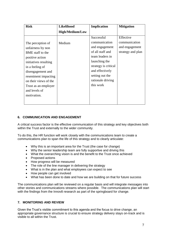| Effective<br>communication<br>and engagement<br>strategy and plan |
|-------------------------------------------------------------------|
|                                                                   |

#### **6. COMMUNICATION AND ENGAGEMENT**

A critical success factor is the effective communication of this strategy and key objectives both within the Trust and externally to the wider community.

To do this, the HR function will work closely with the communications team to create a communications plan to span the life of this strategy and to clearly articulate:

- Why this is an important area for the Trust (the case for change)
- Why the senior leadership team are fully supportive and driving this
- What the overarching vision is and the benefit to the Trust once achieved
- Proposed actions
- How progress will be measured
- The role of the line manager in delivering the strategy
- What is in the plan and what employees can expect to see
- How people can get involved
- What has been done to date and how we are building on that for future success

The communications plan will be reviewed on a regular basis and will integrate messages into other stories and communications streams where possible. The communications plan will start with the findings from the Innov8 research as part of the springboard for change.

#### **7. MONITORING AND REVIEW**

Given the Trust's visible commitment to this agenda and the focus to drive change, an appropriate governance structure is crucial to ensure strategy delivery stays on-track and is visible to all within the Trust.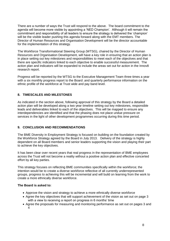There are a number of ways the Trust will respond to the above. The board commitment to the agenda will become more visible by appointing a 'NED Champion'. Although it will remain the commitment and responsibility of all leaders to ensure the strategy is delivered the 'champion' will be the visible leader pushing this agenda forward along with the EMT members. The Director of Human Resources and Organisation Development will be the director accountable for the implementation of this strategy.

The Workforce Transformational Steering Group (WTSG), chaired by the Director of Human Resources and Organisation Development, will have a key role in ensuring that an action plan is in place setting out key milestones and responsibilities to meet each of the objectives and that there are specific indicators linked to each objective to enable successful measurement. The action plan and indicators will be expanded to include the areas set out for action in the Innov8 research report.

Progress will be reported by the WTSG to the Executive Management Team three times a year with a six monthly progress report to the Board .and quarterly performance information on the ethnic profile of the workforce at Trust wide and pay band level.

#### **8. TIMESCALES AND MILESTONES**

As indicated in the section above, following approval of this strategy by the Board a detailed action plan will be developed along a two year timeline setting out key milestones, responsible leads and deliverables linked to each of the objectives. This will be mapped to ensure any interdependencies are identified and that the phasing does not place undue pressure on services in the light of other development programmes occurring during this time period.

#### **9. CONCLUSION AND RECOMMENDATIONS**

The BME Diversity in Employment Strategy is focused on building on the foundation created by the Workforce Strategy agreed by the Board in July 2013. Delivery of the strategy is highly dependent on all Board members and senior leaders supporting the vision and playing their part to achieve the key objectives.

It has been clear over recent years that real progress in the representation of BME employees across the Trust will not become a reality without a positive action plan and effective concerted effort by all key parties.

This strategy focuses on reflecting BME communities specifically within the workforce; the intention would be to create a diverse workforce reflective of all currently underrepresented groups, progress to achieving this will be incremental and will build on learning from the work to create a more ethnically diverse workforce.

#### **The Board is asked to:**

- Approve the vision and strategy to achieve a more ethnically diverse workforce
- Agree the key objectives that will support achievement of the vision as set out on page 3 with a view to receiving a report on progress in 6 months' time
- Agree the proposals for measuring and monitoring performance as set out on pages 3 and 4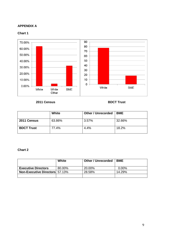#### **APPENDIX A**

#### **Chart 1**



**2011 Census BDCT Trust**

|                   | White  | <b>Other / Unrecorded</b> | <b>BME</b> |
|-------------------|--------|---------------------------|------------|
| 2011 Census       | 63.86% | 3.57%                     | 32.66%     |
| <b>BDCT Trust</b> | 77.4%  | 4.4%                      | 18.2%      |

#### **Chart 2**

|                                       | White  | <b>Other / Unrecorded</b> | <b>BME</b> |
|---------------------------------------|--------|---------------------------|------------|
| <b>Executive Directors</b>            | 80.00% | 20.00%                    | $0.00\%$   |
| <b>Non-Executive Directors</b> 57.13% |        | 28.58%                    | 14.29%     |
|                                       |        |                           |            |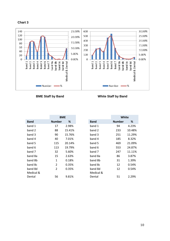



**BME Staff by Band White Staff by Band**

|             | <b>BME</b>    |        |             | White         |
|-------------|---------------|--------|-------------|---------------|
| <b>Band</b> | <b>Number</b> | ℅      | <b>Band</b> | <b>Number</b> |
| band 1      | 17            | 2.98%  | band 1      | 94            |
| band 2      | 88            | 15.41% | band 2      | 233           |
| band 3      | 90            | 15.76% | band 3      | 251           |
| band 4      | 40            | 7.01%  | band 4      | 185           |
| band 5      | 115           | 20.14% | band 5      | 469           |
| band 6      | 113           | 19.79% | band 6      | 553           |
| band 7      | 32            | 5.60%  | band 7      | 247           |
| band 8a     | 15            | 2.63%  | band 8a     | 86            |
| band 8b     | 1             | 0.18%  | band 8b     | 31            |
| band 8c     | 2             | 0.35%  | band 8c     | 12            |
| band 8d     | 2             | 0.35%  | band 8d     | 12            |
| Medical &   |               |        | Medical &   |               |
| Dental      | 56            | 9.81%  | Dental      | 51            |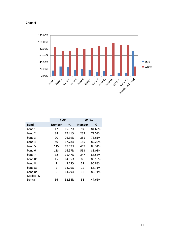#### **Chart 4**



|             | <b>BME</b>     |        | White         |        |
|-------------|----------------|--------|---------------|--------|
| <b>Band</b> | <b>Number</b>  | ℅      | <b>Number</b> | ℅      |
| band 1      | 17             | 15.32% | 94            | 84.68% |
| band 2      | 88             | 27.41% | 233           | 72.59% |
| band 3      | 90             | 26.39% | 251           | 73.61% |
| band 4      | 40             | 17.78% | 185           | 82.22% |
| band 5      | 115            | 19.69% | 469           | 80.31% |
| band 6      | 113            | 16.97% | 553           | 83.03% |
| band 7      | 32             | 11.47% | 247           | 88.53% |
| band 8a     | 15             | 14.85% | 86            | 85.15% |
| band 8b     | 1              | 3.13%  | 31            | 96.88% |
| band 8c     | 2              | 14.29% | 12            | 85.71% |
| band 8d     | $\overline{2}$ | 14.29% | 12            | 85.71% |
| Medical &   |                |        |               |        |
| Dental      | 56             | 52.34% | 51            | 47.66% |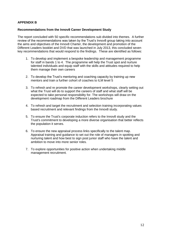#### **APPENDIX B**

#### **Recommendations from the Innov8 Career Development Study**

The report concluded with 50 specific recommendations sub divided into themes. A further review of the recommendations was taken by the Trust's Innov8 group taking into account the aims and objectives of the Innov8 Charter, the development and promotion of the Different Leaders booklet and DVD that was launched in July 2013, this concluded seven key recommendations that would respond to the findings. These are identified as follows:

- 1. To develop and implement a bespoke leadership and management programme for staff in bands 1 to 4. The programme will help the Trust spot and nurture talented individuals and equip staff with the skills and attitudes required to help them manage their own careers
- 2. To develop the Trust's mentoring and coaching capacity by training up new mentors and train a further cohort of coaches to ILM level 5
- 3. To refresh and re promote the career development workshops, clearly setting out what the Trust will do to support the careers of staff and what staff will be expected to take personal responsibility for. The workshops will draw on the development roadmap from the Different Leaders brochure
- 4. To refresh and target the recruitment and selection training incorporating values based recruitment and relevant findings from the Innov8 study.
- 5. To ensure the Trust's corporate induction refers to the Innov8 study and the Trust's commitment to developing a more diverse organisation that better reflects the population it serves.
- 6. To ensure the new appraisal process links specifically to the talent map. Appraisal training and guidance to set out the role of managers in spotting and nurturing talent and how best to sign post junior staff who have the talent and ambition to move into more senior roles.
- 7. To explore opportunities for positive action when undertaking middle management recruitment.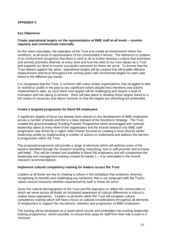#### **APPENDIX C**

#### **Key Objectives**

#### **Create aspirational targets on the representation of BME staff at all levels – monitor regularly and communicate externally**

As the vision articulates, the aspiration of the Trust is to create an environment where the workforce, at all levels is representative of the communities it serves. The reference to creation of an environment recognises that there is work to do to further develop a culture that embraces and actively promotes diversity at every level and how this links to our core values as a Trust and supports our drive to ensure successful outcomes for those we serve. To ensure that the Trust delivers against the vision, aspirational targets will be created that will enable effective measurement and focus throughout the coming years with incremental targets for each year linked to the different pay bands.

It is recognised that the Trust, in common with many similar organisations, has struggled to alter its workforce profile in the past to any significant extent despite best intentions and actions implemented to date, as such these new targets will be challenging and require a level of innovation and risk taking to achieve. Work will take place to develop these targets linked to a full review of vacancies and labour turnover so that the targets are stretching but achievable.

#### **Create a targeted programme for Band 5/6 employees**

A significant degree of focus has already been placed on the development of BME employees across a number of levels and this is a clear element of the Workforce Strategy. The Trust created the ground breaking 'Exciting Futures' Programme which encouraged and nurtured leadership talent at every level of the organisation and the Innov8 research into BME staff progression was driven by a region wide Charter focused on creating a more diverse senior leadership profile by implementing a number of actions to understand and address the barriers to progression within the Trust.

The proposed programme will provide a range of elements which will address some of the barriers identified through the research including networking, how to self-promote and increase self-belief. This will be created and available to Band 5/6 employees and will complement the leadership and management training created for bands  $1 - 4$  as articulated in the Innov8 research recommendations.

#### **Implement cultural competency training for leaders across the Trust**

Leaders at all levels are key to creating a culture in the workplace that embraces diversity, recognising its benefits and challenging any behaviour that is not congruent with the Trust's values around inclusivity whether experienced by staff or those we serve.

Given the cultural demographics of the Trust and the aspiration to reflect the communities in which we serve across all levels an increased awareness of cultural differences is critical to realise those aspirations. Leaders at all levels within the Trust will complete cultural competency training which will have a focus on cultural considerations throughout all elements of employment to support the recruitment, retention and progression of BME employees.

The training will be developed as a stand-alone course and embedded into existing leadership training programmes, where possible, to ensure time away for staff from their role is kept to a minimum.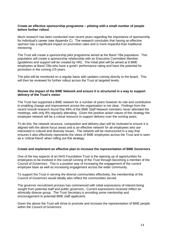#### **Create an effective sponsorship programme – piloting with a small number of people before further rollout**

Much research has been conducted over recent years regarding the importance of sponsorship for individual's career (see Appendix C). The research concludes that having an effective sponsor has a significant impact on promotion rates and is more impactful than traditional mentoring.

The Trust will create a sponsorship pilot programme aimed at the Band 7/8a population. This population will create a sponsorship relationship with an Executive Committee Member (guidelines and support will be created by HR). The initial pilot will be aimed at 8 BME employees at Band 7/8a who have a good+ performance rating and have the potential for promotion in the coming 2/3 years.

The pilot will be monitored on a regular basis with updates coming directly to the board. This will then be reviewed for further rollout across the Trust at targeted levels.

#### **Review the impact of the BME Network and ensure it is structured in a way to support delivery of the Trust's vision**

The Trust has supported a BME network for a number of years however its role and contribution to enabling change and improvement across the organisation is not clear. Findings from the recent Innov8 research found that 49% of the BME Staff Network members never attended the meetings, with only 9% regularly attending. Given the positive action nature of this strategy the employee network will be a critical resource to support delivery over the coming years.

To do this, the network structure, composition and delivery plan will be reviewed to ensure it is aligned with the above focus areas and is an effective network for all employees who are interested in cultural and diversity issues. The network will be restructured in a way that ensures it also effectively represents the views of BME employees across the Trust and is seen as a 'critical friend' when rolling out this strategy.

#### **Create and implement an effective plan to increase the representation of BME Governors**

One of the key aspects of an NHS Foundation Trust is the opening up of opportunities for employees to be involved in the overall running of the Trust through becoming a member of the Council of Governors. This is a positive way of increasing the engagement of the current employee base as well as increasing engagement across the wider community.

To support the Trust in serving the diverse communities effectively, the membership of the Council of Governors would ideally also reflect the communities served.

The governor recruitment process has commenced with initial expressions of interest being sought from potential staff and public governors. Current expressions received reflect an ethnically diverse group. The Trust Secretary is providing some mentorship and encouragement to potential BME staff applicants.

Given the above the Trust will strive to promote and increase the representation of BME people within the Council of Governors.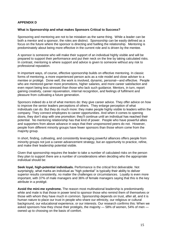#### **APPENDIX D**

#### **What is Sponsorship and what makes Sponsors Critical to Success?**

Sponsoring and mentoring are not to be mistaken as the same thing. While a leader can be both a mentor and a sponsor, the roles are distinct. Sponsorship can be easily defined as a focus on the future where the sponsor is directing and fuelling the relationship. Mentoring is predominately about being more effective in the current role and is driven by the mentee.

A sponsor is someone who will make their support of an individual highly visible and will be prepared to support their performance and put their neck on the line by taking calculated risks. In contrast, mentoring is where support and advice is given to someone without any risk to professional reputation.

In important ways, of course, effective sponsorship builds on effective mentoring. In classic forms of mentoring, a more experienced person acts as a role model and close adviser to a mentee or protégé. Done well, the work is involved, dynamic, personal—and effective. People who are mentored garner more promotions, higher salaries, and more career satisfaction and even report being less stressed than those who lack such guidance. Mentors, in turn, report gaining creativity, career rejuvenation, internal recognition, and feelings of fulfilment and pleasure from cultivating a future generation.

Sponsors indeed do a lot of what mentors do: they give career advice. They offer advice on how to improve the senior leaders perceptions of others. They enlarge perception of what individuals can do. But they do much more: they make people highly visible to leaders within the company. They connect employees to career opportunities. And when it comes to opening doors, they don't stop with one promotion: they'll continue until an individual has reached their potential. No mentoring relationship has that kind of power. People who have powerful allies and supporters from above advance in ways that their unsponsored peers do not. However, people from different minority groups have fewer sponsors than those whom come from the majority group.

In short, finding, cultivating, and consistently leveraging powerful alliances offers people from minority groups not just a career-advancement strategy, but an opportunity to practice, refine, and make their leadership potential visible.

Given that sponsorship requires the leader to take a number of calculated risks on the person they plan to support there are a number of considerations when deciding who the appropriate individual should be:

**Seek loyal, high-potential individuals.** Performance is the critical first deliverable. Not surprisingly, what marks an individual as "high potential" is typically their ability to deliver superior results consistently, no matter the challenges or circumstances. Loyalty is even more important, with 37% of male managers and 36% of female managers saying that this is the key attribute in a protégé.

**Avoid the mini-me syndrome.** The reason most multinational leadership is [predominantly](http://www.diversityinc.com/diversity-facts/wheres-the-diversity-in-fortune-500-ceos/)  [white and male](http://www.diversityinc.com/diversity-facts/wheres-the-diversity-in-fortune-500-ceos/) is that those in power tend to sponsor those who remind them of themselves or those with whom they have much in common. Sponsorship depends on trust, after all, and it is human nature to place our trust in people who share our ethnicity, our religious or cultural background, our educational experience, or our interests. Our research confirms this: When we asked sponsors how they chose their protégés, the majority — 58% of women, 54% of men owned up to choosing on the basis of comfort.